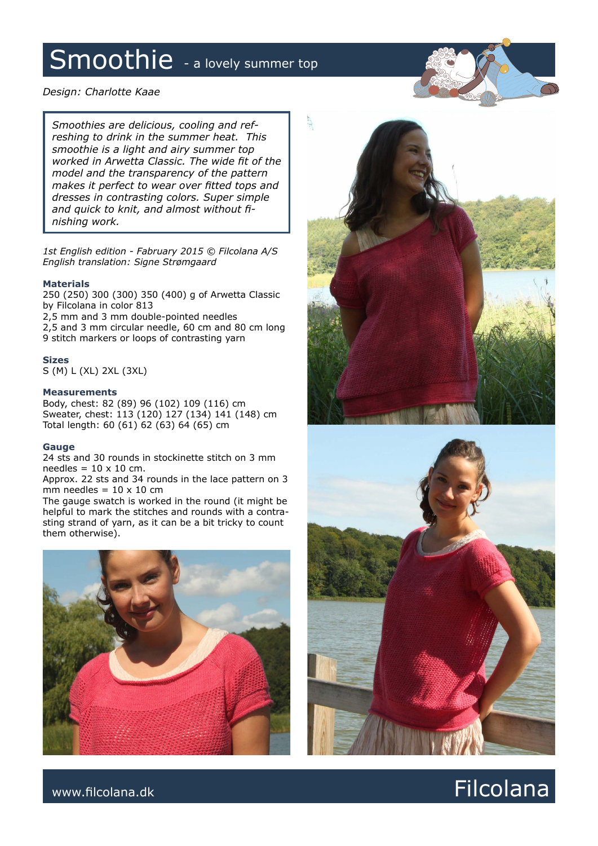### Smoothie - a lovely summer top

### *Design: Charlotte Kaae*

*Smoothies are delicious, cooling and refreshing to drink in the summer heat. This smoothie is a light and airy summer top worked in Arwetta Classic. The wide fit of the model and the transparency of the pattern makes it perfect to wear over fitted tops and dresses in contrasting colors. Super simple and quick to knit, and almost without finishing work.*

*1st English edition - Fabruary 2015 © Filcolana A/S English translation: Signe Strømgaard*

#### **Materials**

250 (250) 300 (300) 350 (400) g of Arwetta Classic by Filcolana in color 813

2,5 mm and 3 mm double-pointed needles 2,5 and 3 mm circular needle, 60 cm and 80 cm long 9 stitch markers or loops of contrasting yarn

#### **Sizes**

S (M) L (XL) 2XL (3XL)

#### **Measurements**

Body, chest: 82 (89) 96 (102) 109 (116) cm Sweater, chest: 113 (120) 127 (134) 141 (148) cm Total length: 60 (61) 62 (63) 64 (65) cm

#### **Gauge**

24 sts and 30 rounds in stockinette stitch on 3 mm needles =  $10 \times 10$  cm.

Approx. 22 sts and 34 rounds in the lace pattern on 3 mm needles =  $10 \times 10$  cm

The gauge swatch is worked in the round (it might be helpful to mark the stitches and rounds with a contrasting strand of yarn, as it can be a bit tricky to count them otherwise).





### www.filcolana.dk **Filcolana.dk** Particolana.dk and the set of the set of the set of the set of the set of the set of the set of the set of the set of the set of the set of the set of the set of the set of the set of the se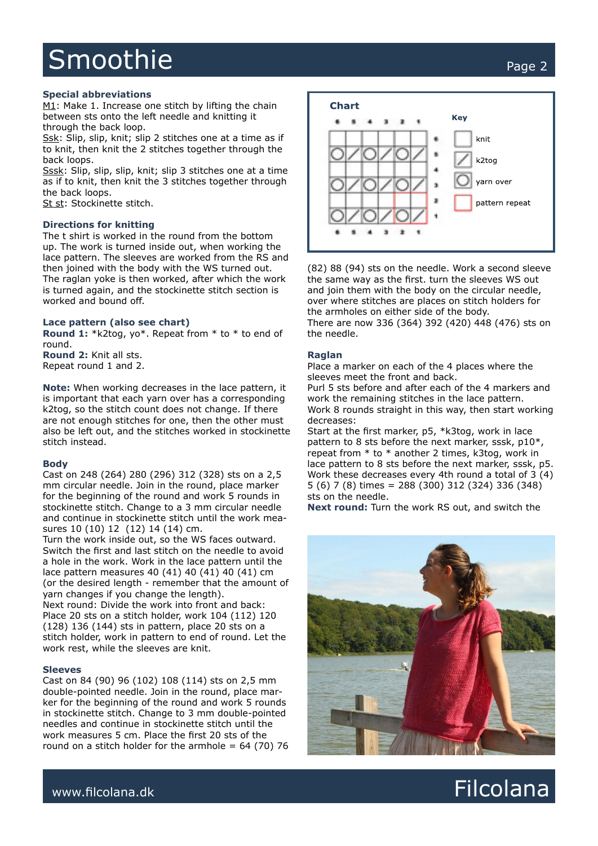## Smoothie Page 2

#### **Special abbreviations**

M1: Make 1. Increase one stitch by lifting the chain between sts onto the left needle and knitting it through the back loop.

Ssk: Slip, slip, knit; slip 2 stitches one at a time as if to knit, then knit the 2 stitches together through the back loops.

Sssk: Slip, slip, slip, knit; slip 3 stitches one at a time as if to knit, then knit the 3 stitches together through the back loops.

St st: Stockinette stitch.

#### **Directions for knitting**

The t shirt is worked in the round from the bottom up. The work is turned inside out, when working the lace pattern. The sleeves are worked from the RS and then joined with the body with the WS turned out. The raglan yoke is then worked, after which the work is turned again, and the stockinette stitch section is worked and bound off.

#### **Lace pattern (also see chart)**

**Round 1:** \*k2tog, yo\*. Repeat from \* to \* to end of round.

**Round 2:** Knit all sts. Repeat round 1 and 2.

**Note:** When working decreases in the lace pattern, it is important that each yarn over has a corresponding k2tog, so the stitch count does not change. If there are not enough stitches for one, then the other must also be left out, and the stitches worked in stockinette stitch instead.

#### **Body**

Cast on 248 (264) 280 (296) 312 (328) sts on a 2,5 mm circular needle. Join in the round, place marker for the beginning of the round and work 5 rounds in stockinette stitch. Change to a 3 mm circular needle and continue in stockinette stitch until the work measures 10 (10) 12 (12) 14 (14) cm.

Turn the work inside out, so the WS faces outward. Switch the first and last stitch on the needle to avoid a hole in the work. Work in the lace pattern until the lace pattern measures 40 (41) 40 (41) 40 (41) cm (or the desired length - remember that the amount of yarn changes if you change the length). Next round: Divide the work into front and back: Place 20 sts on a stitch holder, work 104 (112) 120 (128) 136 (144) sts in pattern, place 20 sts on a stitch holder, work in pattern to end of round. Let the work rest, while the sleeves are knit.

#### **Sleeves**

Cast on 84 (90) 96 (102) 108 (114) sts on 2,5 mm double-pointed needle. Join in the round, place marker for the beginning of the round and work 5 rounds in stockinette stitch. Change to 3 mm double-pointed needles and continue in stockinette stitch until the work measures 5 cm. Place the first 20 sts of the round on a stitch holder for the armhole  $= 64$  (70) 76



(82) 88 (94) sts on the needle. Work a second sleeve the same way as the first. turn the sleeves WS out and join them with the body on the circular needle, over where stitches are places on stitch holders for the armholes on either side of the body. There are now 336 (364) 392 (420) 448 (476) sts on the needle.

#### **Raglan**

Place a marker on each of the 4 places where the sleeves meet the front and back.

Purl 5 sts before and after each of the 4 markers and work the remaining stitches in the lace pattern. Work 8 rounds straight in this way, then start working decreases:

Start at the first marker, p5, \*k3tog, work in lace pattern to 8 sts before the next marker, sssk, p10\*, repeat from \* to \* another 2 times, k3tog, work in lace pattern to 8 sts before the next marker, sssk, p5. Work these decreases every 4th round a total of 3 (4) 5 (6) 7 (8) times = 288 (300) 312 (324) 336 (348) sts on the needle.

**Next round:** Turn the work RS out, and switch the